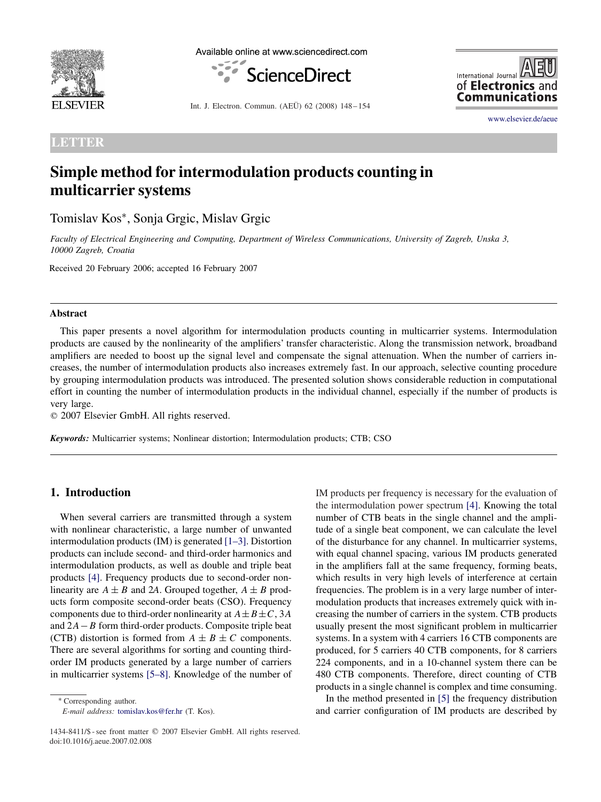

Available online at www.sciencedirect.com



International Journal of **Electronics** and **Communications** 

[www.elsevier.de/aeue](http://www.elsevier.de/aeue)

Int. J. Electron. Commun. (AEÜ) 62 (2008) 148 – 154

**LETTER**

# **Simple method for intermodulation products counting in multicarrier systems**

Tomislav Kos∗, Sonja Grgic, Mislav Grgic

*Faculty of Electrical Engineering and Computing, Department of Wireless Communications, University of Zagreb, Unska 3, 10000 Zagreb, Croatia*

Received 20 February 2006; accepted 16 February 2007

#### **Abstract**

This paper presents a novel algorithm for intermodulation products counting in multicarrier systems. Intermodulation products are caused by the nonlinearity of the amplifiers' transfer characteristic. Along the transmission network, broadband amplifiers are needed to boost up the signal level and compensate the signal attenuation. When the number of carriers increases, the number of intermodulation products also increases extremely fast. In our approach, selective counting procedure by grouping intermodulation products was introduced. The presented solution shows considerable reduction in computational effort in counting the number of intermodulation products in the individual channel, especially if the number of products is very large.

 $© 2007 Elsevier GmbH. All rights reserved.$ 

*Keywords:* Multicarrier systems; Nonlinear distortion; Intermodulation products; CTB; CSO

## **1. Introduction**

When several carriers are transmitted through a system with nonlinear characteristic, a large number of unwanted intermodulation products (IM) is generated [1–3]. Distortion products can include second- and third-order harmonics and intermodulation products, as well as double and triple beat products [\[4\].](#page-5-0) Frequency products due to second-order nonlinearity are  $A \pm B$  and 2A. Grouped together,  $A \pm B$  products form composite second-order beats (CSO). Frequency components due to third-order nonlinearity at  $A \pm B \pm C$ , 3*A* and 2*A*−*B* form third-order products. Composite triple beat (CTB) distortion is formed from  $A \pm B \pm C$  components. There are several algorithms for sorting and counting thirdorder IM products generated by a large number of carriers in multicarrier systems [5–8]. Knowledge of the number of

∗ Corresponding author.

*E-mail address:* [tomislav.kos@fer.hr](mailto:tomislav.kos@fer.hr) (T. Kos).

IM products per frequency is necessary for the evaluation of the intermodulation power spectrum [\[4\].](#page-5-0) Knowing the total number of CTB beats in the single channel and the amplitude of a single beat component, we can calculate the level of the disturbance for any channel. In multicarrier systems, with equal channel spacing, various IM products generated in the amplifiers fall at the same frequency, forming beats, which results in very high levels of interference at certain frequencies. The problem is in a very large number of intermodulation products that increases extremely quick with increasing the number of carriers in the system. CTB products usually present the most significant problem in multicarrier systems. In a system with 4 carriers 16 CTB components are produced, for 5 carriers 40 CTB components, for 8 carriers 224 components, and in a 10-channel system there can be 480 CTB components. Therefore, direct counting of CTB products in a single channel is complex and time consuming.

In the method presented in [\[5\]](#page-5-0) the frequency distribution and carrier configuration of IM products are described by

<sup>1434-8411/\$ -</sup> see front matter © 2007 Elsevier GmbH. All rights reserved. doi:10.1016/j.aeue.2007.02.008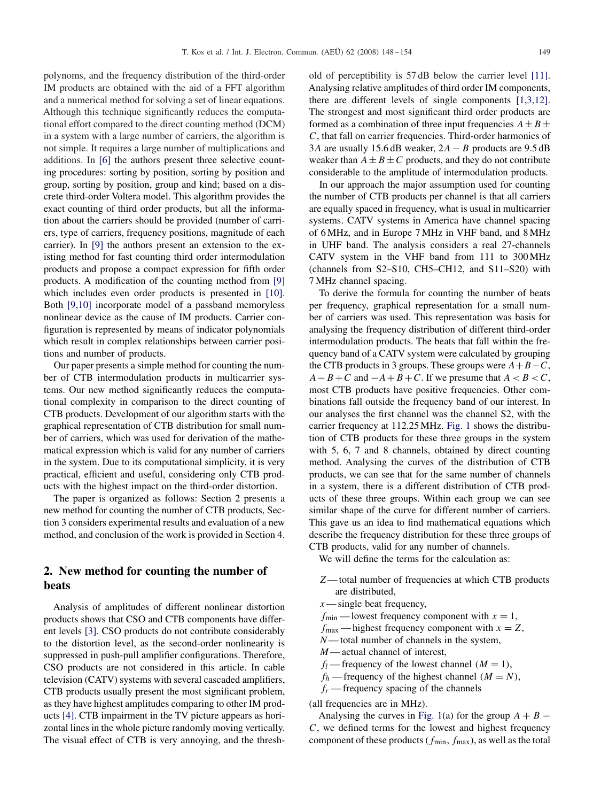polynoms, and the frequency distribution of the third-order IM products are obtained with the aid of a FFT algorithm and a numerical method for solving a set of linear equations. Although this technique significantly reduces the computational effort compared to the direct counting method (DCM) in a system with a large number of carriers, the algorithm is not simple. It requires a large number of multiplications and additions. In [\[6\]](#page-5-0) the authors present three selective counting procedures: sorting by position, sorting by position and group, sorting by position, group and kind; based on a discrete third-order Voltera model. This algorithm provides the exact counting of third order products, but all the information about the carriers should be provided (number of carriers, type of carriers, frequency positions, magnitude of each carrier). In [\[9\]](#page-5-0) the authors present an extension to the existing method for fast counting third order intermodulation products and propose a compact expression for fifth order products. A modification of the counting method from [\[9\]](#page-5-0) which includes even order products is presented in [\[10\].](#page-6-0) Both [9,10] incorporate model of a passband memoryless nonlinear device as the cause of IM products. Carrier configuration is represented by means of indicator polynomials which result in complex relationships between carrier positions and number of products.

Our paper presents a simple method for counting the number of CTB intermodulation products in multicarrier systems. Our new method significantly reduces the computational complexity in comparison to the direct counting of CTB products. Development of our algorithm starts with the graphical representation of CTB distribution for small number of carriers, which was used for derivation of the mathematical expression which is valid for any number of carriers in the system. Due to its computational simplicity, it is very practical, efficient and useful, considering only CTB products with the highest impact on the third-order distortion.

The paper is organized as follows: Section 2 presents a new method for counting the number of CTB products, Section 3 considers experimental results and evaluation of a new method, and conclusion of the work is provided in Section 4.

# **2. New method for counting the number of beats**

Analysis of amplitudes of different nonlinear distortion products shows that CSO and CTB components have different levels [\[3\].](#page-5-0) CSO products do not contribute considerably to the distortion level, as the second-order nonlinearity is suppressed in push-pull amplifier configurations. Therefore, CSO products are not considered in this article. In cable television (CATV) systems with several cascaded amplifiers, CTB products usually present the most significant problem, as they have highest amplitudes comparing to other IM products [\[4\].](#page-5-0) CTB impairment in the TV picture appears as horizontal lines in the whole picture randomly moving vertically. The visual effect of CTB is very annoying, and the threshold of perceptibility is 57 dB below the carrier level [\[11\].](#page-6-0) Analysing relative amplitudes of third order IM components, there are different levels of single components [1,3,12]. The strongest and most significant third order products are formed as a combination of three input frequencies  $A \pm B \pm$ *C*, that fall on carrier frequencies. Third-order harmonics of 3*A* are usually 15.6 dB weaker, 2*A* − *B* products are 9.5 dB weaker than  $A \pm B \pm C$  products, and they do not contribute considerable to the amplitude of intermodulation products.

In our approach the major assumption used for counting the number of CTB products per channel is that all carriers are equally spaced in frequency, what is usual in multicarrier systems. CATV systems in America have channel spacing of 6 MHz, and in Europe 7 MHz in VHF band, and 8 MHz in UHF band. The analysis considers a real 27-channels CATV system in the VHF band from 111 to 300 MHz (channels from S2–S10, CH5–CH12, and S11–S20) with 7 MHz channel spacing.

To derive the formula for counting the number of beats per frequency, graphical representation for a small number of carriers was used. This representation was basis for analysing the frequency distribution of different third-order intermodulation products. The beats that fall within the frequency band of a CATV system were calculated by grouping the CTB products in 3 groups. These groups were  $A + B - C$ ,  $A - B + C$  and  $-A + B + C$ . If we presume that  $A < B < C$ , most CTB products have positive frequencies. Other combinations fall outside the frequency band of our interest. In our analyses the first channel was the channel S2, with the carrier frequency at 112.25 MHz. [Fig. 1](#page-2-0) shows the distribution of CTB products for these three groups in the system with 5, 6, 7 and 8 channels, obtained by direct counting method. Analysing the curves of the distribution of CTB products, we can see that for the same number of channels in a system, there is a different distribution of CTB products of these three groups. Within each group we can see similar shape of the curve for different number of carriers. This gave us an idea to find mathematical equations which describe the frequency distribution for these three groups of CTB products, valid for any number of channels.

We will define the terms for the calculation as:

- *Z* total number of frequencies at which CTB products are distributed,
- *x* single beat frequency,

 $f_{\text{min}}$  — lowest frequency component with  $x = 1$ ,

- $f_{\text{max}}$  highest frequency component with  $x = Z$ ,
- *N* total number of channels in the system,
- *M* actual channel of interest,
- *f<sub>l</sub>* frequency of the lowest channel  $(M = 1)$ ,
- $f_h$ —frequency of the highest channel  $(M = N)$ ,
- $f_r$ —frequency spacing of the channels

(all frequencies are in MHz).

Analysing the curves in [Fig. 1\(](#page-2-0)a) for the group  $A + B -$ *C*, we defined terms for the lowest and highest frequency component of these products (*f*min, *f*max), as well as the total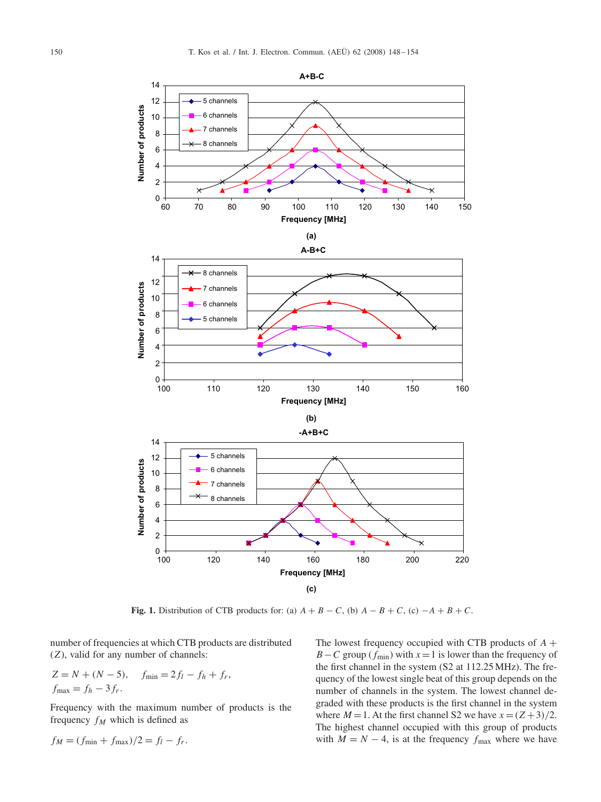<span id="page-2-0"></span>

**Fig. 1.** Distribution of CTB products for: (a)  $A + B - C$ , (b)  $A - B + C$ , (c)  $-A + B + C$ .

number of frequencies at which CTB products are distributed (*Z*), valid for any number of channels:

$$
Z = N + (N - 5), \quad f_{\min} = 2f_l - f_h + f_r,
$$
  

$$
f_{\max} = f_h - 3f_r.
$$

Frequency with the maximum number of products is the frequency  $f_M$  which is defined as

$$
f_M = (f_{\min} + f_{\max})/2 = f_l - f_r.
$$

The lowest frequency occupied with CTB products of *A* + *B* − *C* group ( $f_{min}$ ) with  $x = 1$  is lower than the frequency of the first channel in the system (S2 at 112.25 MHz). The frequency of the lowest single beat of this group depends on the number of channels in the system. The lowest channel degraded with these products is the first channel in the system where  $M = 1$ . At the first channel S2 we have  $x = (Z+3)/2$ . The highest channel occupied with this group of products with  $M = N - 4$ , is at the frequency  $f_{\text{max}}$  where we have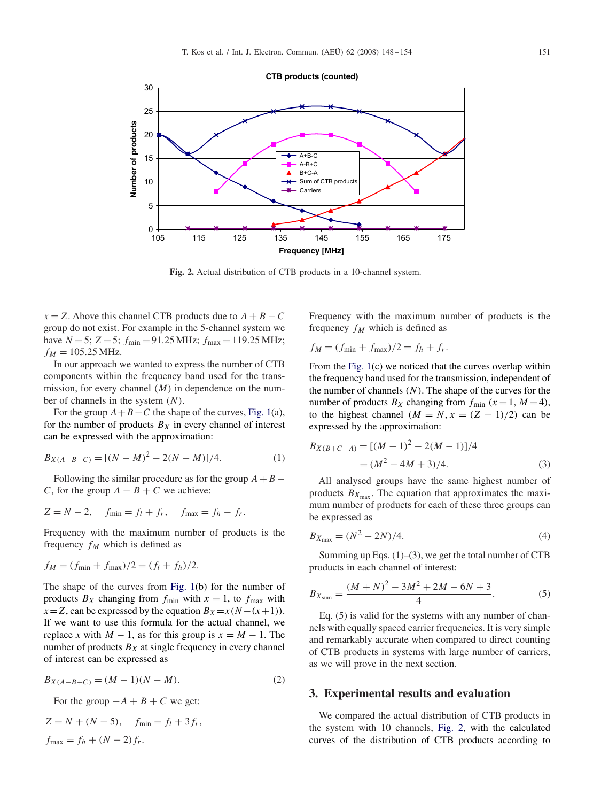

**Fig. 2.** Actual distribution of CTB products in a 10-channel system.

 $x = Z$ . Above this channel CTB products due to  $A + B - C$ group do not exist. For example in the 5-channel system we have  $N = 5$ ;  $Z = 5$ ;  $f_{\text{min}} = 91.25 \text{ MHz}$ ;  $f_{\text{max}} = 119.25 \text{ MHz}$ ;  $f_M = 105.25 \text{ MHz}.$ 

In our approach we wanted to express the number of CTB components within the frequency band used for the transmission, for every channel *(M)* in dependence on the number of channels in the system *(N )*.

For the group  $A + B - C$  the shape of the curves, [Fig. 1\(](#page-2-0)a), for the number of products  $B_X$  in every channel of interest can be expressed with the approximation:

$$
B_{X(A+B-C)} = [(N-M)^2 - 2(N-M)]/4.
$$
 (1)

Following the similar procedure as for the group  $A + B -$ *C*, for the group  $A - B + C$  we achieve:

$$
Z = N - 2, \quad f_{\min} = f_l + f_r, \quad f_{\max} = f_h - f_r.
$$

Frequency with the maximum number of products is the frequency  $f_M$  which is defined as

$$
f_M = (f_{\min} + f_{\max})/2 = (f_l + f_h)/2.
$$

The shape of the curves from [Fig. 1\(](#page-2-0)b) for the number of products  $B_X$  changing from  $f_{\text{min}}$  with  $x = 1$ , to  $f_{\text{max}}$  with  $x = Z$ , can be expressed by the equation  $B_X = x(N - (x + 1))$ . If we want to use this formula for the actual channel, we replace *x* with  $M - 1$ , as for this group is  $x = M - 1$ . The number of products  $B_X$  at single frequency in every channel of interest can be expressed as

$$
B_{X(A-B+C)} = (M-1)(N-M). \tag{2}
$$

For the group  $-A + B + C$  we get:

$$
Z = N + (N - 5), \quad f_{\min} = f_l + 3f_r,
$$
  

$$
f_{\max} = f_h + (N - 2)f_r.
$$

Frequency with the maximum number of products is the frequency  $f_M$  which is defined as

$$
f_M = (f_{\min} + f_{\max})/2 = f_h + f_r.
$$

From the [Fig. 1\(](#page-2-0)c) we noticed that the curves overlap within the frequency band used for the transmission, independent of the number of channels  $(N)$ . The shape of the curves for the number of products  $B_X$  changing from  $f_{\text{min}}$   $(x = 1, M = 4)$ , to the highest channel  $(M = N, x = (Z - 1)/2)$  can be expressed by the approximation:

$$
B_{X(B+C-A)} = [(M-1)^{2} - 2(M-1)]/4
$$
  
= (M<sup>2</sup> - 4M + 3)/4. (3)

All analysed groups have the same highest number of products  $B_{X_{\text{max}}}$ . The equation that approximates the maximum number of products for each of these three groups can be expressed as

$$
B_{X_{\text{max}}} = (N^2 - 2N)/4. \tag{4}
$$

Summing up Eqs.  $(1)$ – $(3)$ , we get the total number of CTB products in each channel of interest:

$$
B_{X_{\text{sum}}} = \frac{(M+N)^2 - 3M^2 + 2M - 6N + 3}{4}.\tag{5}
$$

Eq. (5) is valid for the systems with any number of channels with equally spaced carrier frequencies. It is very simple and remarkably accurate when compared to direct counting of CTB products in systems with large number of carriers, as we will prove in the next section.

#### **3. Experimental results and evaluation**

We compared the actual distribution of CTB products in the system with 10 channels, Fig. 2, with the calculated curves of the distribution of CTB products according to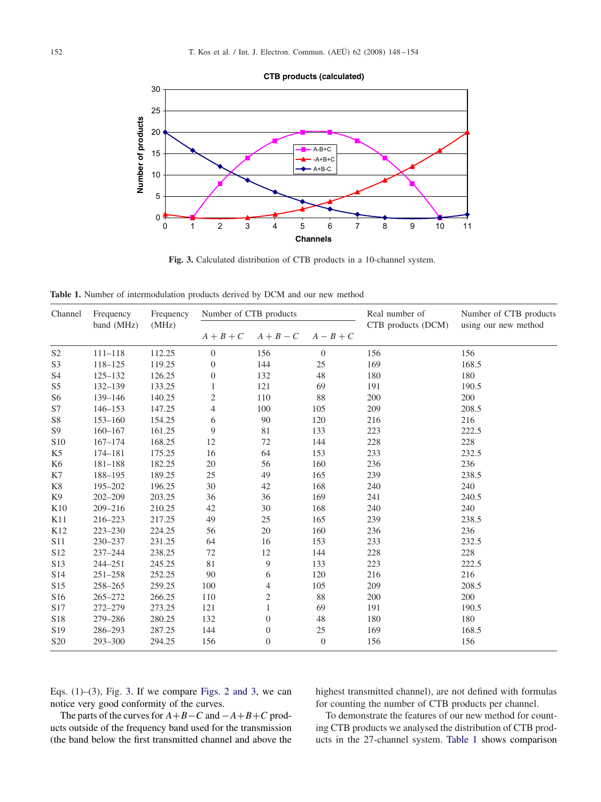

**Fig. 3.** Calculated distribution of CTB products in a 10-channel system.

**Table 1.** Number of intermodulation products derived by DCM and our new method

| Channel         | Frequency<br>band (MHz) | Frequency<br>(MHz) | Number of CTB products |                  |                  | Real number of     | Number of CTB products |
|-----------------|-------------------------|--------------------|------------------------|------------------|------------------|--------------------|------------------------|
|                 |                         |                    | $A + B + C$            | $A + B - C$      | $A-B+C$          | CTB products (DCM) | using our new method   |
| S <sub>2</sub>  | $111 - 118$             | 112.25             | $\boldsymbol{0}$       | 156              | $\boldsymbol{0}$ | 156                | 156                    |
| S <sub>3</sub>  | 118-125                 | 119.25             | $\boldsymbol{0}$       | 144              | 25               | 169                | 168.5                  |
| S <sub>4</sub>  | $125 - 132$             | 126.25             | $\boldsymbol{0}$       | 132              | 48               | 180                | 180                    |
| S5              | $132 - 139$             | 133.25             | 1                      | 121              | 69               | 191                | 190.5                  |
| S6              | 139-146                 | 140.25             | $\mathbf{2}$           | 110              | 88               | 200                | 200                    |
| S7              | $146 - 153$             | 147.25             | $\overline{4}$         | 100              | 105              | 209                | 208.5                  |
| S8              | $153 - 160$             | 154.25             | 6                      | 90               | 120              | 216                | 216                    |
| S <sub>9</sub>  | $160 - 167$             | 161.25             | 9                      | 81               | 133              | 223                | 222.5                  |
| S10             | $167 - 174$             | 168.25             | 12                     | 72               | 144              | 228                | 228                    |
| K <sub>5</sub>  | 174-181                 | 175.25             | 16                     | 64               | 153              | 233                | 232.5                  |
| K <sub>6</sub>  | $181 - 188$             | 182.25             | 20                     | 56               | 160              | 236                | 236                    |
| K7              | 188-195                 | 189.25             | 25                     | 49               | 165              | 239                | 238.5                  |
| K8              | 195-202                 | 196.25             | 30                     | 42               | 168              | 240                | 240                    |
| K <sub>9</sub>  | $202 - 209$             | 203.25             | 36                     | 36               | 169              | 241                | 240.5                  |
| K10             | $209 - 216$             | 210.25             | 42                     | 30               | 168              | 240                | 240                    |
| K11             | 216-223                 | 217.25             | 49                     | 25               | 165              | 239                | 238.5                  |
| K12             | $223 - 230$             | 224.25             | 56                     | 20               | 160              | 236                | 236                    |
| S11             | 230-237                 | 231.25             | 64                     | 16               | 153              | 233                | 232.5                  |
| S12             | $237 - 244$             | 238.25             | 72                     | 12               | 144              | 228                | 228                    |
| S13             | $244 - 251$             | 245.25             | 81                     | 9                | 133              | 223                | 222.5                  |
| S14             | $251 - 258$             | 252.25             | 90                     | 6                | 120              | 216                | 216                    |
| S15             | $258 - 265$             | 259.25             | 100                    | $\overline{4}$   | 105              | 209                | 208.5                  |
| S16             | $265 - 272$             | 266.25             | 110                    | $\overline{c}$   | 88               | 200                | 200                    |
| S17             | 272-279                 | 273.25             | 121                    | 1                | 69               | 191                | 190.5                  |
| S18             | 279-286                 | 280.25             | 132                    | $\boldsymbol{0}$ | 48               | 180                | 180                    |
| S19             | 286-293                 | 287.25             | 144                    | $\boldsymbol{0}$ | 25               | 169                | 168.5                  |
| S <sub>20</sub> | 293-300                 | 294.25             | 156                    | $\boldsymbol{0}$ | $\boldsymbol{0}$ | 156                | 156                    |

Eqs.  $(1)$ – $(3)$ , Fig. 3. If we compare Figs. 2 and 3, we can notice very good conformity of the curves.

highest transmitted channel), are not defined with formulas for counting the number of CTB products per channel.

The parts of the curves for *A*+*B*−*C* and −*A*+*B*+*C* products outside of the frequency band used for the transmission (the band below the first transmitted channel and above the

To demonstrate the features of our new method for counting CTB products we analysed the distribution of CTB products in the 27-channel system. Table 1 shows comparison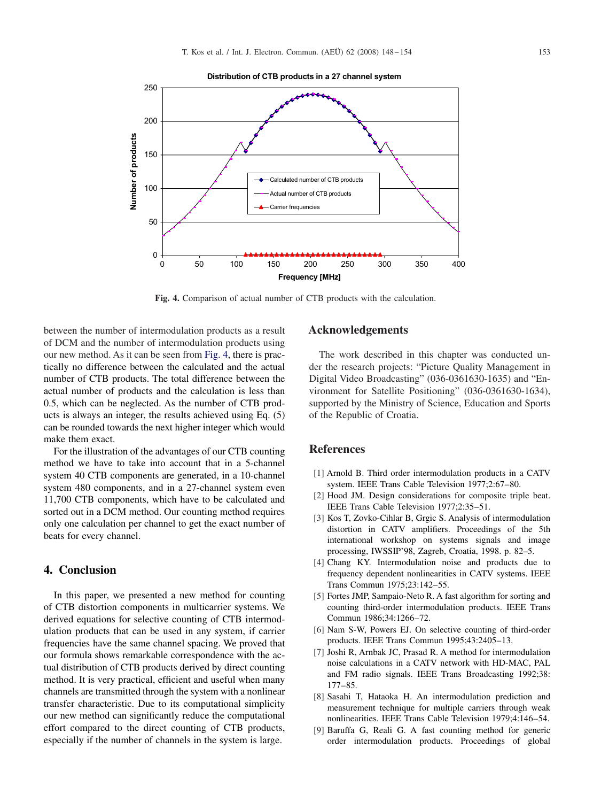<span id="page-5-0"></span>

**Fig. 4.** Comparison of actual number of CTB products with the calculation.

between the number of intermodulation products as a result of DCM and the number of intermodulation products using our new method. As it can be seen from Fig. 4, there is practically no difference between the calculated and the actual number of CTB products. The total difference between the actual number of products and the calculation is less than 0.5, which can be neglected. As the number of CTB products is always an integer, the results achieved using Eq. (5) can be rounded towards the next higher integer which would make them exact.

For the illustration of the advantages of our CTB counting method we have to take into account that in a 5-channel system 40 CTB components are generated, in a 10-channel system 480 components, and in a 27-channel system even 11,700 CTB components, which have to be calculated and sorted out in a DCM method. Our counting method requires only one calculation per channel to get the exact number of beats for every channel.

# **4. Conclusion**

In this paper, we presented a new method for counting of CTB distortion components in multicarrier systems. We derived equations for selective counting of CTB intermodulation products that can be used in any system, if carrier frequencies have the same channel spacing. We proved that our formula shows remarkable correspondence with the actual distribution of CTB products derived by direct counting method. It is very practical, efficient and useful when many channels are transmitted through the system with a nonlinear transfer characteristic. Due to its computational simplicity our new method can significantly reduce the computational effort compared to the direct counting of CTB products, especially if the number of channels in the system is large.

## **Acknowledgements**

The work described in this chapter was conducted under the research projects: "Picture Quality Management in Digital Video Broadcasting" (036-0361630-1635) and "Environment for Satellite Positioning" (036-0361630-1634), supported by the Ministry of Science, Education and Sports of the Republic of Croatia.

### **References**

- [1] Arnold B. Third order intermodulation products in a CATV system. IEEE Trans Cable Television 1977;2:67–80.
- [2] Hood JM. Design considerations for composite triple beat. IEEE Trans Cable Television 1977;2:35–51.
- [3] Kos T, Zovko-Cihlar B, Grgic S. Analysis of intermodulation distortion in CATV amplifiers. Proceedings of the 5th international workshop on systems signals and image processing, IWSSIP'98, Zagreb, Croatia, 1998. p. 82–5.
- [4] Chang KY. Intermodulation noise and products due to frequency dependent nonlinearities in CATV systems. IEEE Trans Commun 1975;23:142–55.
- [5] Fortes JMP, Sampaio-Neto R. A fast algorithm for sorting and counting third-order intermodulation products. IEEE Trans Commun 1986;34:1266–72.
- [6] Nam S-W, Powers EJ. On selective counting of third-order products. IEEE Trans Commun 1995;43:2405–13.
- [7] Joshi R, Arnbak JC, Prasad R. A method for intermodulation noise calculations in a CATV network with HD-MAC, PAL and FM radio signals. IEEE Trans Broadcasting 1992;38: 177–85.
- [8] Sasahi T, Hataoka H. An intermodulation prediction and measurement technique for multiple carriers through weak nonlinearities. IEEE Trans Cable Television 1979;4:146–54.
- [9] Baruffa G, Reali G. A fast counting method for generic order intermodulation products. Proceedings of global